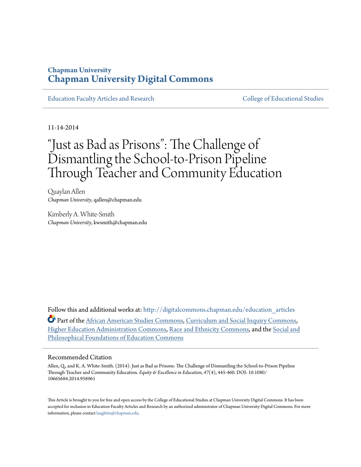# **Chapman University [Chapman University Digital Commons](http://digitalcommons.chapman.edu?utm_source=digitalcommons.chapman.edu%2Feducation_articles%2F43&utm_medium=PDF&utm_campaign=PDFCoverPages)**

[Education Faculty Articles and Research](http://digitalcommons.chapman.edu/education_articles?utm_source=digitalcommons.chapman.edu%2Feducation_articles%2F43&utm_medium=PDF&utm_campaign=PDFCoverPages) [College of Educational Studies](http://digitalcommons.chapman.edu/ces?utm_source=digitalcommons.chapman.edu%2Feducation_articles%2F43&utm_medium=PDF&utm_campaign=PDFCoverPages)

11-14-2014

# "Just as Bad as Prisons": The Challenge of Dismantling the School-to-Prison Pipeline Through Teacher and Community Education

Quaylan Allen *Chapman University*, qallen@chapman.edu

Kimberly A. White-Smith *Chapman University*, kwsmith@chapman.edu

Follow this and additional works at: [http://digitalcommons.chapman.edu/education\\_articles](http://digitalcommons.chapman.edu/education_articles?utm_source=digitalcommons.chapman.edu%2Feducation_articles%2F43&utm_medium=PDF&utm_campaign=PDFCoverPages)

Part of the [African American Studies Commons,](http://network.bepress.com/hgg/discipline/567?utm_source=digitalcommons.chapman.edu%2Feducation_articles%2F43&utm_medium=PDF&utm_campaign=PDFCoverPages) [Curriculum and Social Inquiry Commons,](http://network.bepress.com/hgg/discipline/1038?utm_source=digitalcommons.chapman.edu%2Feducation_articles%2F43&utm_medium=PDF&utm_campaign=PDFCoverPages) [Higher Education Administration Commons](http://network.bepress.com/hgg/discipline/791?utm_source=digitalcommons.chapman.edu%2Feducation_articles%2F43&utm_medium=PDF&utm_campaign=PDFCoverPages), [Race and Ethnicity Commons](http://network.bepress.com/hgg/discipline/426?utm_source=digitalcommons.chapman.edu%2Feducation_articles%2F43&utm_medium=PDF&utm_campaign=PDFCoverPages), and the [Social and](http://network.bepress.com/hgg/discipline/799?utm_source=digitalcommons.chapman.edu%2Feducation_articles%2F43&utm_medium=PDF&utm_campaign=PDFCoverPages) [Philosophical Foundations of Education Commons](http://network.bepress.com/hgg/discipline/799?utm_source=digitalcommons.chapman.edu%2Feducation_articles%2F43&utm_medium=PDF&utm_campaign=PDFCoverPages)

#### Recommended Citation

Allen, Q., and K. A. White-Smith. (2014). Just as Bad as Prisons: The Challenge of Dismantling the School-to-Prison Pipeline Through Teacher and Community Education. *Equity & Excellence in Education, 47*(4), 445-460. DOI: 10.1080/ 10665684.2014.958961

This Article is brought to you for free and open access by the College of Educational Studies at Chapman University Digital Commons. It has been accepted for inclusion in Education Faculty Articles and Research by an authorized administrator of Chapman University Digital Commons. For more information, please contact [laughtin@chapman.edu](mailto:laughtin@chapman.edu).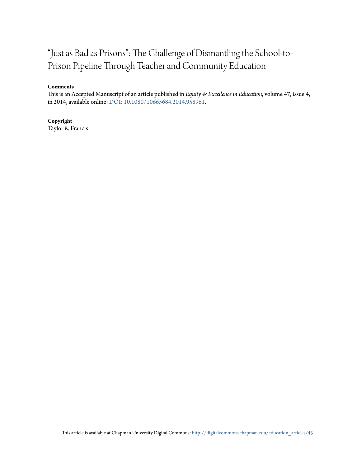# "Just as Bad as Prisons": The Challenge of Dismantling the School-to-Prison Pipeline Through Teacher and Community Education

#### **Comments**

This is an Accepted Manuscript of an article published in *Equity & Excellence in Education*, volume 47, issue 4, in 2014, available online: [DOI: 10.1080/10665684.2014.958961](http://dx.doi.org/10.1080/10665684.2014.958961).

#### **Copyright**

Taylor & Francis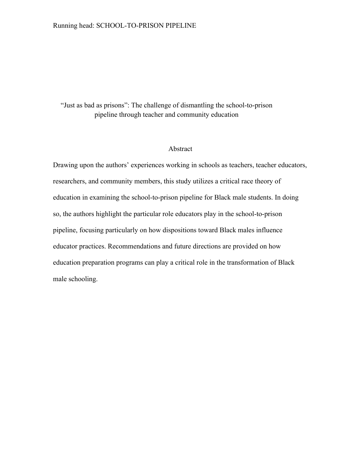"Just as bad as prisons": The challenge of dismantling the school-to-prison pipeline through teacher and community education

#### Abstract

Drawing upon the authors' experiences working in schools as teachers, teacher educators, researchers, and community members, this study utilizes a critical race theory of education in examining the school-to-prison pipeline for Black male students. In doing so, the authors highlight the particular role educators play in the school-to-prison pipeline, focusing particularly on how dispositions toward Black males influence educator practices. Recommendations and future directions are provided on how education preparation programs can play a critical role in the transformation of Black male schooling.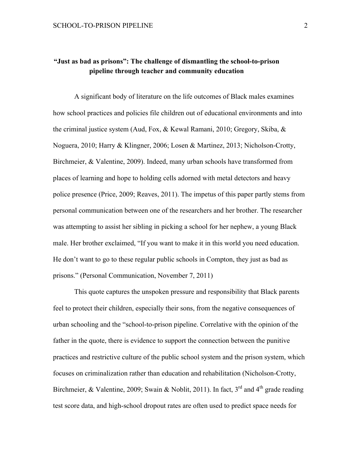## **"Just as bad as prisons": The challenge of dismantling the school-to-prison pipeline through teacher and community education**

A significant body of literature on the life outcomes of Black males examines how school practices and policies file children out of educational environments and into the criminal justice system (Aud, Fox, & Kewal Ramani, 2010; Gregory, Skiba, & Noguera, 2010; Harry & Klingner, 2006; Losen & Martinez, 2013; Nicholson-Crotty, Birchmeier, & Valentine, 2009). Indeed, many urban schools have transformed from places of learning and hope to holding cells adorned with metal detectors and heavy police presence (Price, 2009; Reaves, 2011). The impetus of this paper partly stems from personal communication between one of the researchers and her brother. The researcher was attempting to assist her sibling in picking a school for her nephew, a young Black male. Her brother exclaimed, "If you want to make it in this world you need education. He don't want to go to these regular public schools in Compton, they just as bad as prisons." (Personal Communication, November 7, 2011)

This quote captures the unspoken pressure and responsibility that Black parents feel to protect their children, especially their sons, from the negative consequences of urban schooling and the "school-to-prison pipeline. Correlative with the opinion of the father in the quote, there is evidence to support the connection between the punitive practices and restrictive culture of the public school system and the prison system, which focuses on criminalization rather than education and rehabilitation (Nicholson-Crotty, Birchmeier, & Valentine, 2009; Swain & Noblit, 2011). In fact,  $3<sup>rd</sup>$  and  $4<sup>th</sup>$  grade reading test score data, and high-school dropout rates are often used to predict space needs for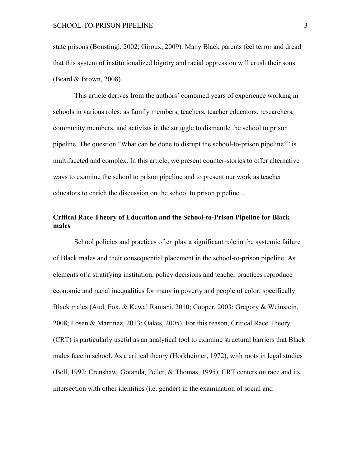state prisons (Bonstingl, 2002; Giroux, 2009). Many Black parents feel terror and dread that this system of institutionalized bigotry and racial oppression will crush their sons (Beard & Brown, 2008).

This article derives from the authors' combined years of experience working in schools in various roles: as family members, teachers, teacher educators, researchers, community members, and activists in the struggle to dismantle the school to prison pipeline. The question "What can be done to disrupt the school-to-prison pipeline?" is multifaceted and complex. In this article, we present counter-stories to offer alternative ways to examine the school to prison pipeline and to present our work as teacher educators to enrich the discussion on the school to prison pipeline. .

### **Critical Race Theory of Education and the School-to-Prison Pipeline for Black males**

School policies and practices often play a significant role in the systemic failure of Black males and their consequential placement in the school-to-prison pipeline. As elements of a stratifying institution, policy decisions and teacher practices reproduce economic and racial inequalities for many in poverty and people of color, specifically Black males (Aud, Fox, & Kewal Ramani, 2010; Cooper, 2003; Gregory & Weinstein, 2008; Losen & Martinez, 2013; Oakes, 2005). For this reason, Critical Race Theory (CRT) is particularly useful as an analytical tool to examine structural barriers that Black males face in school. As a critical theory (Horkheimer, 1972), with roots in legal studies (Bell, 1992; Crenshaw, Gotanda, Peller, & Thomas, 1995), CRT centers on race and its intersection with other identities (i.e. gender) in the examination of social and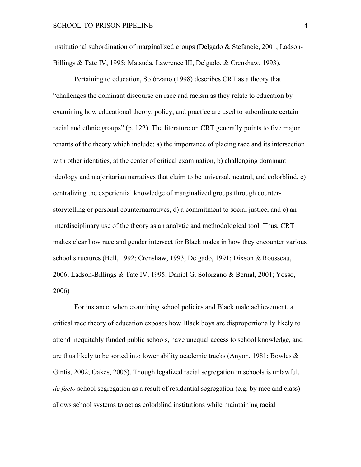institutional subordination of marginalized groups (Delgado & Stefancic, 2001; Ladson-Billings & Tate IV, 1995; Matsuda, Lawrence III, Delgado, & Crenshaw, 1993).

Pertaining to education, Solórzano (1998) describes CRT as a theory that "challenges the dominant discourse on race and racism as they relate to education by examining how educational theory, policy, and practice are used to subordinate certain racial and ethnic groups" (p. 122). The literature on CRT generally points to five major tenants of the theory which include: a) the importance of placing race and its intersection with other identities, at the center of critical examination, b) challenging dominant ideology and majoritarian narratives that claim to be universal, neutral, and colorblind, c) centralizing the experiential knowledge of marginalized groups through counterstorytelling or personal counternarratives, d) a commitment to social justice, and e) an interdisciplinary use of the theory as an analytic and methodological tool. Thus, CRT makes clear how race and gender intersect for Black males in how they encounter various school structures (Bell, 1992; Crenshaw, 1993; Delgado, 1991; Dixson & Rousseau, 2006; Ladson-Billings & Tate IV, 1995; Daniel G. Solorzano & Bernal, 2001; Yosso, 2006)

For instance, when examining school policies and Black male achievement, a critical race theory of education exposes how Black boys are disproportionally likely to attend inequitably funded public schools, have unequal access to school knowledge, and are thus likely to be sorted into lower ability academic tracks (Anyon, 1981; Bowles  $\&$ Gintis, 2002; Oakes, 2005). Though legalized racial segregation in schools is unlawful, *de facto* school segregation as a result of residential segregation (e.g. by race and class) allows school systems to act as colorblind institutions while maintaining racial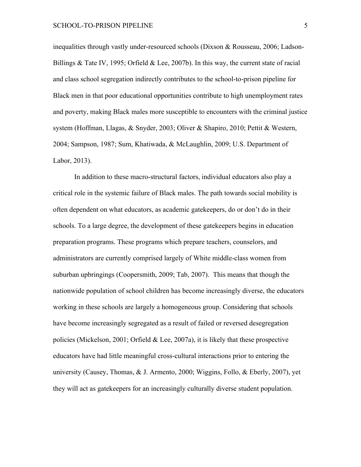inequalities through vastly under-resourced schools (Dixson & Rousseau, 2006; Ladson-Billings & Tate IV, 1995; Orfield & Lee, 2007b). In this way, the current state of racial and class school segregation indirectly contributes to the school-to-prison pipeline for Black men in that poor educational opportunities contribute to high unemployment rates and poverty, making Black males more susceptible to encounters with the criminal justice system (Hoffman, Llagas, & Snyder, 2003; Oliver & Shapiro, 2010; Pettit & Western, 2004; Sampson, 1987; Sum, Khatiwada, & McLaughlin, 2009; U.S. Department of Labor, 2013).

In addition to these macro-structural factors, individual educators also play a critical role in the systemic failure of Black males. The path towards social mobility is often dependent on what educators, as academic gatekeepers, do or don't do in their schools. To a large degree, the development of these gatekeepers begins in education preparation programs. These programs which prepare teachers, counselors, and administrators are currently comprised largely of White middle-class women from suburban upbringings (Coopersmith, 2009; Tab, 2007). This means that though the nationwide population of school children has become increasingly diverse, the educators working in these schools are largely a homogeneous group. Considering that schools have become increasingly segregated as a result of failed or reversed desegregation policies (Mickelson, 2001; Orfield & Lee, 2007a), it is likely that these prospective educators have had little meaningful cross-cultural interactions prior to entering the university (Causey, Thomas, & J. Armento, 2000; Wiggins, Follo, & Eberly, 2007), yet they will act as gatekeepers for an increasingly culturally diverse student population.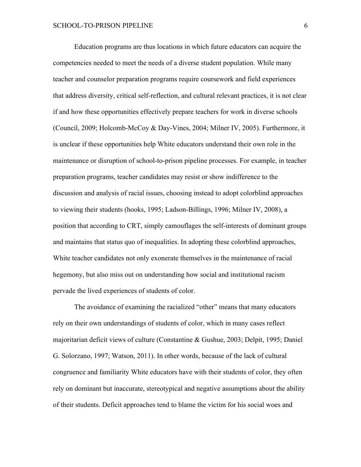Education programs are thus locations in which future educators can acquire the competencies needed to meet the needs of a diverse student population. While many teacher and counselor preparation programs require coursework and field experiences that address diversity, critical self-reflection, and cultural relevant practices, it is not clear if and how these opportunities effectively prepare teachers for work in diverse schools (Council, 2009; Holcomb-McCoy & Day-Vines, 2004; Milner IV, 2005). Furthermore, it is unclear if these opportunities help White educators understand their own role in the maintenance or disruption of school-to-prison pipeline processes. For example, in teacher preparation programs, teacher candidates may resist or show indifference to the discussion and analysis of racial issues, choosing instead to adopt colorblind approaches to viewing their students (hooks, 1995; Ladson-Billings, 1996; Milner IV, 2008), a position that according to CRT, simply camouflages the self-interests of dominant groups and maintains that status quo of inequalities. In adopting these colorblind approaches, White teacher candidates not only exonerate themselves in the maintenance of racial hegemony, but also miss out on understanding how social and institutional racism pervade the lived experiences of students of color.

The avoidance of examining the racialized "other" means that many educators rely on their own understandings of students of color, which in many cases reflect majoritarian deficit views of culture (Constantine & Gushue, 2003; Delpit, 1995; Daniel G. Solorzano, 1997; Watson, 2011). In other words, because of the lack of cultural congruence and familiarity White educators have with their students of color, they often rely on dominant but inaccurate, stereotypical and negative assumptions about the ability of their students. Deficit approaches tend to blame the victim for his social woes and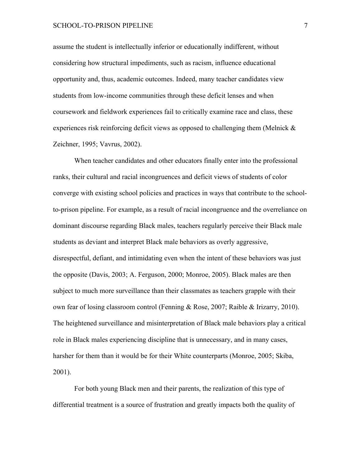#### SCHOOL-TO-PRISON PIPELINE 7

assume the student is intellectually inferior or educationally indifferent, without considering how structural impediments, such as racism, influence educational opportunity and, thus, academic outcomes. Indeed, many teacher candidates view students from low-income communities through these deficit lenses and when coursework and fieldwork experiences fail to critically examine race and class, these experiences risk reinforcing deficit views as opposed to challenging them (Melnick  $\&$ Zeichner, 1995; Vavrus, 2002).

When teacher candidates and other educators finally enter into the professional ranks, their cultural and racial incongruences and deficit views of students of color converge with existing school policies and practices in ways that contribute to the schoolto-prison pipeline. For example, as a result of racial incongruence and the overreliance on dominant discourse regarding Black males, teachers regularly perceive their Black male students as deviant and interpret Black male behaviors as overly aggressive, disrespectful, defiant, and intimidating even when the intent of these behaviors was just the opposite (Davis, 2003; A. Ferguson, 2000; Monroe, 2005). Black males are then subject to much more surveillance than their classmates as teachers grapple with their own fear of losing classroom control (Fenning & Rose, 2007; Raible & Irizarry, 2010). The heightened surveillance and misinterpretation of Black male behaviors play a critical role in Black males experiencing discipline that is unnecessary, and in many cases, harsher for them than it would be for their White counterparts (Monroe, 2005; Skiba, 2001).

For both young Black men and their parents, the realization of this type of differential treatment is a source of frustration and greatly impacts both the quality of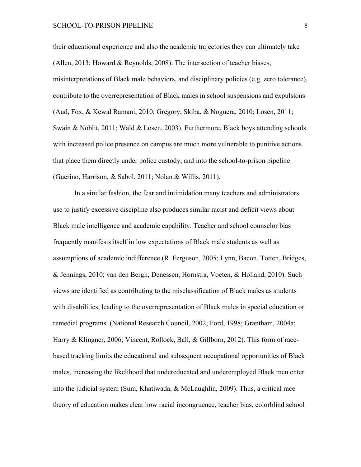their educational experience and also the academic trajectories they can ultimately take (Allen, 2013; Howard & Reynolds, 2008). The intersection of teacher biases, misinterpretations of Black male behaviors, and disciplinary policies (e.g. zero tolerance), contribute to the overrepresentation of Black males in school suspensions and expulsions (Aud, Fox, & Kewal Ramani, 2010; Gregory, Skiba, & Noguera, 2010; Losen, 2011; Swain & Noblit, 2011; Wald & Losen, 2003). Furthermore, Black boys attending schools with increased police presence on campus are much more vulnerable to punitive actions that place them directly under police custody, and into the school-to-prison pipeline (Guerino, Harrison, & Sabol, 2011; Nolan & Willis, 2011).

In a similar fashion, the fear and intimidation many teachers and administrators use to justify excessive discipline also produces similar racist and deficit views about Black male intelligence and academic capability. Teacher and school counselor bias frequently manifests itself in low expectations of Black male students as well as assumptions of academic indifference (R. Ferguson, 2005; Lynn, Bacon, Totten, Bridges, & Jennings, 2010; van den Bergh, Denessen, Hornstra, Voeten, & Holland, 2010). Such views are identified as contributing to the misclassification of Black males as students with disabilities, leading to the overrepresentation of Black males in special education or remedial programs. (National Research Council, 2002; Ford, 1998; Grantham, 2004a; Harry & Klingner, 2006; Vincent, Rollock, Ball, & Gillborn, 2012). This form of racebased tracking limits the educational and subsequent occupational opportunities of Black males, increasing the likelihood that undereducated and underemployed Black men enter into the judicial system (Sum, Khatiwada, & McLaughlin, 2009). Thus, a critical race theory of education makes clear how racial incongruence, teacher bias, colorblind school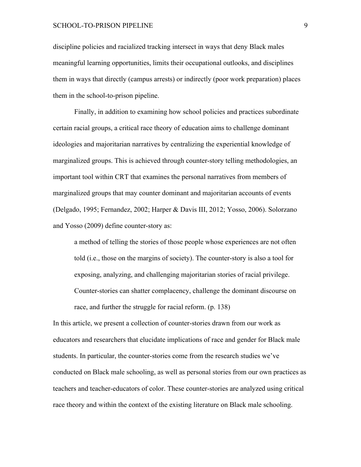#### SCHOOL-TO-PRISON PIPELINE 9

discipline policies and racialized tracking intersect in ways that deny Black males meaningful learning opportunities, limits their occupational outlooks, and disciplines them in ways that directly (campus arrests) or indirectly (poor work preparation) places them in the school-to-prison pipeline.

Finally, in addition to examining how school policies and practices subordinate certain racial groups, a critical race theory of education aims to challenge dominant ideologies and majoritarian narratives by centralizing the experiential knowledge of marginalized groups. This is achieved through counter-story telling methodologies, an important tool within CRT that examines the personal narratives from members of marginalized groups that may counter dominant and majoritarian accounts of events (Delgado, 1995; Fernandez, 2002; Harper & Davis III, 2012; Yosso, 2006). Solorzano and Yosso (2009) define counter-story as:

a method of telling the stories of those people whose experiences are not often told (i.e., those on the margins of society). The counter-story is also a tool for exposing, analyzing, and challenging majoritarian stories of racial privilege. Counter-stories can shatter complacency, challenge the dominant discourse on race, and further the struggle for racial reform. (p. 138)

In this article, we present a collection of counter-stories drawn from our work as educators and researchers that elucidate implications of race and gender for Black male students. In particular, the counter-stories come from the research studies we've conducted on Black male schooling, as well as personal stories from our own practices as teachers and teacher-educators of color. These counter-stories are analyzed using critical race theory and within the context of the existing literature on Black male schooling.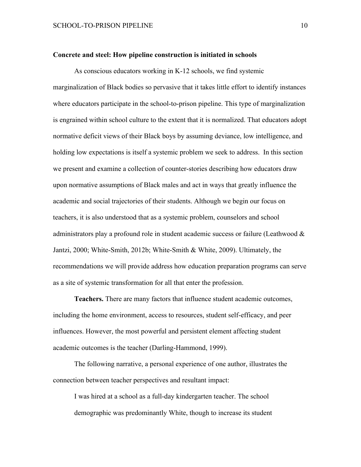#### **Concrete and steel: How pipeline construction is initiated in schools**

As conscious educators working in K-12 schools, we find systemic marginalization of Black bodies so pervasive that it takes little effort to identify instances where educators participate in the school-to-prison pipeline. This type of marginalization is engrained within school culture to the extent that it is normalized. That educators adopt normative deficit views of their Black boys by assuming deviance, low intelligence, and holding low expectations is itself a systemic problem we seek to address. In this section we present and examine a collection of counter-stories describing how educators draw upon normative assumptions of Black males and act in ways that greatly influence the academic and social trajectories of their students. Although we begin our focus on teachers, it is also understood that as a systemic problem, counselors and school administrators play a profound role in student academic success or failure (Leathwood & Jantzi, 2000; White-Smith, 2012b; White-Smith & White, 2009). Ultimately, the recommendations we will provide address how education preparation programs can serve as a site of systemic transformation for all that enter the profession.

**Teachers.** There are many factors that influence student academic outcomes, including the home environment, access to resources, student self-efficacy, and peer influences. However, the most powerful and persistent element affecting student academic outcomes is the teacher (Darling-Hammond, 1999).

The following narrative, a personal experience of one author, illustrates the connection between teacher perspectives and resultant impact:

I was hired at a school as a full-day kindergarten teacher. The school demographic was predominantly White, though to increase its student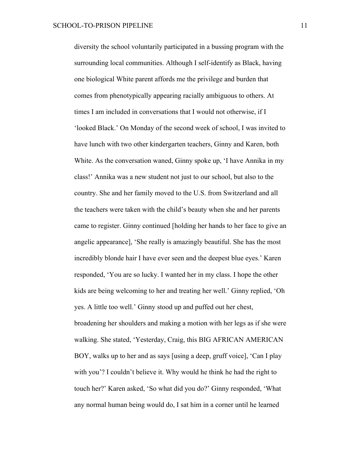diversity the school voluntarily participated in a bussing program with the surrounding local communities. Although I self-identify as Black, having one biological White parent affords me the privilege and burden that comes from phenotypically appearing racially ambiguous to others. At times I am included in conversations that I would not otherwise, if I 'looked Black.' On Monday of the second week of school, I was invited to have lunch with two other kindergarten teachers, Ginny and Karen, both White. As the conversation waned, Ginny spoke up, 'I have Annika in my class!' Annika was a new student not just to our school, but also to the country. She and her family moved to the U.S. from Switzerland and all the teachers were taken with the child's beauty when she and her parents came to register. Ginny continued [holding her hands to her face to give an angelic appearance], 'She really is amazingly beautiful. She has the most incredibly blonde hair I have ever seen and the deepest blue eyes.' Karen responded, 'You are so lucky. I wanted her in my class. I hope the other kids are being welcoming to her and treating her well.' Ginny replied, 'Oh yes. A little too well.' Ginny stood up and puffed out her chest, broadening her shoulders and making a motion with her legs as if she were walking. She stated, 'Yesterday, Craig, this BIG AFRICAN AMERICAN BOY, walks up to her and as says [using a deep, gruff voice], 'Can I play with you'? I couldn't believe it. Why would he think he had the right to touch her?' Karen asked, 'So what did you do?' Ginny responded, 'What any normal human being would do, I sat him in a corner until he learned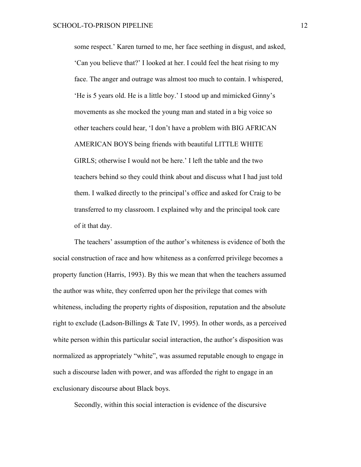some respect.' Karen turned to me, her face seething in disgust, and asked, 'Can you believe that?' I looked at her. I could feel the heat rising to my face. The anger and outrage was almost too much to contain. I whispered, 'He is 5 years old. He is a little boy.' I stood up and mimicked Ginny's movements as she mocked the young man and stated in a big voice so other teachers could hear, 'I don't have a problem with BIG AFRICAN AMERICAN BOYS being friends with beautiful LITTLE WHITE GIRLS; otherwise I would not be here.' I left the table and the two teachers behind so they could think about and discuss what I had just told them. I walked directly to the principal's office and asked for Craig to be transferred to my classroom. I explained why and the principal took care of it that day.

The teachers' assumption of the author's whiteness is evidence of both the social construction of race and how whiteness as a conferred privilege becomes a property function (Harris, 1993). By this we mean that when the teachers assumed the author was white, they conferred upon her the privilege that comes with whiteness, including the property rights of disposition, reputation and the absolute right to exclude (Ladson-Billings & Tate IV, 1995). In other words, as a perceived white person within this particular social interaction, the author's disposition was normalized as appropriately "white", was assumed reputable enough to engage in such a discourse laden with power, and was afforded the right to engage in an exclusionary discourse about Black boys.

Secondly, within this social interaction is evidence of the discursive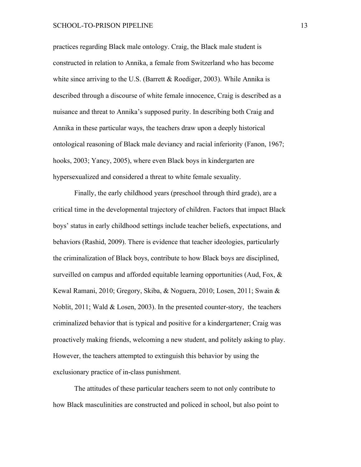practices regarding Black male ontology. Craig, the Black male student is constructed in relation to Annika, a female from Switzerland who has become white since arriving to the U.S. (Barrett & Roediger, 2003). While Annika is described through a discourse of white female innocence, Craig is described as a nuisance and threat to Annika's supposed purity. In describing both Craig and Annika in these particular ways, the teachers draw upon a deeply historical ontological reasoning of Black male deviancy and racial inferiority (Fanon, 1967; hooks, 2003; Yancy, 2005), where even Black boys in kindergarten are hypersexualized and considered a threat to white female sexuality.

Finally, the early childhood years (preschool through third grade), are a critical time in the developmental trajectory of children. Factors that impact Black boys' status in early childhood settings include teacher beliefs, expectations, and behaviors (Rashid, 2009). There is evidence that teacher ideologies, particularly the criminalization of Black boys, contribute to how Black boys are disciplined, surveilled on campus and afforded equitable learning opportunities (Aud, Fox, & Kewal Ramani, 2010; Gregory, Skiba, & Noguera, 2010; Losen, 2011; Swain & Noblit, 2011; Wald & Losen, 2003). In the presented counter-story, the teachers criminalized behavior that is typical and positive for a kindergartener; Craig was proactively making friends, welcoming a new student, and politely asking to play. However, the teachers attempted to extinguish this behavior by using the exclusionary practice of in-class punishment.

The attitudes of these particular teachers seem to not only contribute to how Black masculinities are constructed and policed in school, but also point to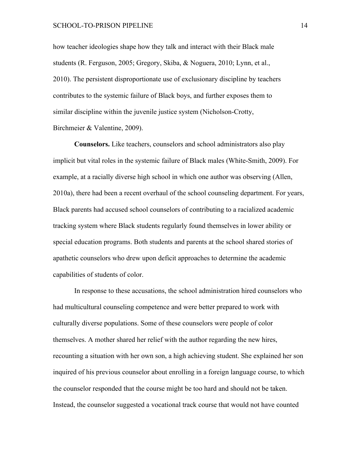#### SCHOOL-TO-PRISON PIPELINE 14

how teacher ideologies shape how they talk and interact with their Black male students (R. Ferguson, 2005; Gregory, Skiba, & Noguera, 2010; Lynn, et al., 2010). The persistent disproportionate use of exclusionary discipline by teachers contributes to the systemic failure of Black boys, and further exposes them to similar discipline within the juvenile justice system (Nicholson-Crotty, Birchmeier & Valentine, 2009).

**Counselors.** Like teachers, counselors and school administrators also play implicit but vital roles in the systemic failure of Black males (White-Smith, 2009). For example, at a racially diverse high school in which one author was observing (Allen, 2010a), there had been a recent overhaul of the school counseling department. For years, Black parents had accused school counselors of contributing to a racialized academic tracking system where Black students regularly found themselves in lower ability or special education programs. Both students and parents at the school shared stories of apathetic counselors who drew upon deficit approaches to determine the academic capabilities of students of color.

In response to these accusations, the school administration hired counselors who had multicultural counseling competence and were better prepared to work with culturally diverse populations. Some of these counselors were people of color themselves. A mother shared her relief with the author regarding the new hires, recounting a situation with her own son, a high achieving student. She explained her son inquired of his previous counselor about enrolling in a foreign language course, to which the counselor responded that the course might be too hard and should not be taken. Instead, the counselor suggested a vocational track course that would not have counted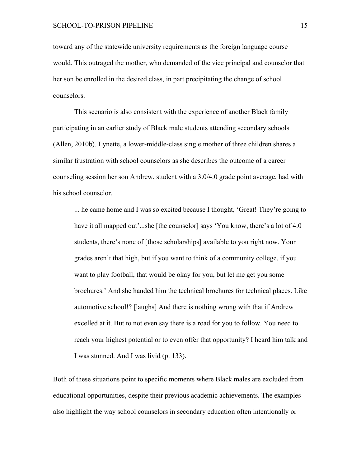toward any of the statewide university requirements as the foreign language course would. This outraged the mother, who demanded of the vice principal and counselor that her son be enrolled in the desired class, in part precipitating the change of school counselors.

This scenario is also consistent with the experience of another Black family participating in an earlier study of Black male students attending secondary schools (Allen, 2010b). Lynette, a lower-middle-class single mother of three children shares a similar frustration with school counselors as she describes the outcome of a career counseling session her son Andrew, student with a 3.0/4.0 grade point average, had with his school counselor.

... he came home and I was so excited because I thought, 'Great! They're going to have it all mapped out'...she [the counselor] says 'You know, there's a lot of 4.0 students, there's none of [those scholarships] available to you right now. Your grades aren't that high, but if you want to think of a community college, if you want to play football, that would be okay for you, but let me get you some brochures.' And she handed him the technical brochures for technical places. Like automotive school!? [laughs] And there is nothing wrong with that if Andrew excelled at it. But to not even say there is a road for you to follow. You need to reach your highest potential or to even offer that opportunity? I heard him talk and I was stunned. And I was livid (p. 133).

Both of these situations point to specific moments where Black males are excluded from educational opportunities, despite their previous academic achievements. The examples also highlight the way school counselors in secondary education often intentionally or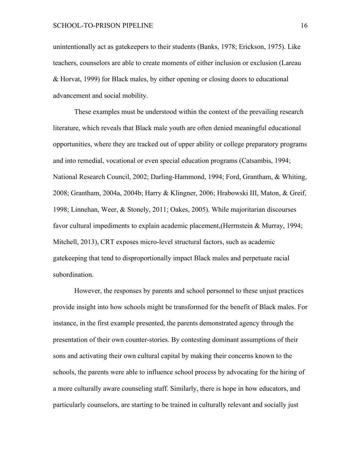unintentionally act as gatekeepers to their students (Banks, 1978; Erickson, 1975). Like teachers, counselors are able to create moments of either inclusion or exclusion (Lareau & Horvat, 1999) for Black males, by either opening or closing doors to educational advancement and social mobility.

These examples must be understood within the context of the prevailing research literature, which reveals that Black male youth are often denied meaningful educational opportunities, where they are tracked out of upper ability or college preparatory programs and into remedial, vocational or even special education programs (Catsambis, 1994; National Research Council, 2002; Darling-Hammond, 1994; Ford, Grantham, & Whiting, 2008; Grantham, 2004a, 2004b; Harry & Klingner, 2006; Hrabowski III, Maton, & Greif, 1998; Linnehan, Weer, & Stonely, 2011; Oakes, 2005). While majoritarian discourses favor cultural impediments to explain academic placement,(Herrnstein & Murray, 1994; Mitchell, 2013), CRT exposes micro-level structural factors, such as academic gatekeeping that tend to disproportionally impact Black males and perpetuate racial subordination.

However, the responses by parents and school personnel to these unjust practices provide insight into how schools might be transformed for the benefit of Black males. For instance, in the first example presented, the parents demonstrated agency through the presentation of their own counter-stories. By contesting dominant assumptions of their sons and activating their own cultural capital by making their concerns known to the schools, the parents were able to influence school process by advocating for the hiring of a more culturally aware counseling staff. Similarly, there is hope in how educators, and particularly counselors, are starting to be trained in culturally relevant and socially just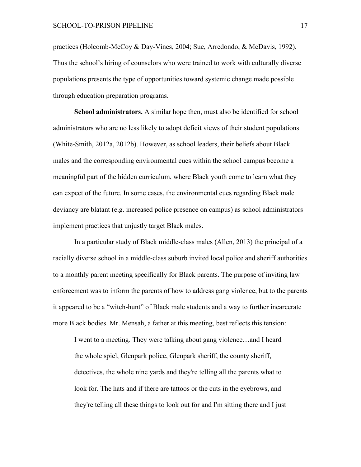practices (Holcomb-McCoy & Day-Vines, 2004; Sue, Arredondo, & McDavis, 1992). Thus the school's hiring of counselors who were trained to work with culturally diverse populations presents the type of opportunities toward systemic change made possible through education preparation programs.

**School administrators.** A similar hope then, must also be identified for school administrators who are no less likely to adopt deficit views of their student populations (White-Smith, 2012a, 2012b). However, as school leaders, their beliefs about Black males and the corresponding environmental cues within the school campus become a meaningful part of the hidden curriculum, where Black youth come to learn what they can expect of the future. In some cases, the environmental cues regarding Black male deviancy are blatant (e.g. increased police presence on campus) as school administrators implement practices that unjustly target Black males.

In a particular study of Black middle-class males (Allen, 2013) the principal of a racially diverse school in a middle-class suburb invited local police and sheriff authorities to a monthly parent meeting specifically for Black parents. The purpose of inviting law enforcement was to inform the parents of how to address gang violence, but to the parents it appeared to be a "witch-hunt" of Black male students and a way to further incarcerate more Black bodies. Mr. Mensah, a father at this meeting, best reflects this tension:

I went to a meeting. They were talking about gang violence…and I heard the whole spiel, Glenpark police, Glenpark sheriff, the county sheriff, detectives, the whole nine yards and they're telling all the parents what to look for. The hats and if there are tattoos or the cuts in the eyebrows, and they're telling all these things to look out for and I'm sitting there and I just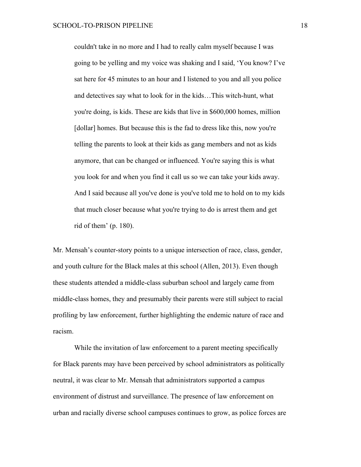couldn't take in no more and I had to really calm myself because I was going to be yelling and my voice was shaking and I said, 'You know? I've sat here for 45 minutes to an hour and I listened to you and all you police and detectives say what to look for in the kids…This witch-hunt, what you're doing, is kids. These are kids that live in \$600,000 homes, million [dollar] homes. But because this is the fad to dress like this, now you're telling the parents to look at their kids as gang members and not as kids anymore, that can be changed or influenced. You're saying this is what you look for and when you find it call us so we can take your kids away. And I said because all you've done is you've told me to hold on to my kids that much closer because what you're trying to do is arrest them and get rid of them' (p. 180).

Mr. Mensah's counter-story points to a unique intersection of race, class, gender, and youth culture for the Black males at this school (Allen, 2013). Even though these students attended a middle-class suburban school and largely came from middle-class homes, they and presumably their parents were still subject to racial profiling by law enforcement, further highlighting the endemic nature of race and racism.

While the invitation of law enforcement to a parent meeting specifically for Black parents may have been perceived by school administrators as politically neutral, it was clear to Mr. Mensah that administrators supported a campus environment of distrust and surveillance. The presence of law enforcement on urban and racially diverse school campuses continues to grow, as police forces are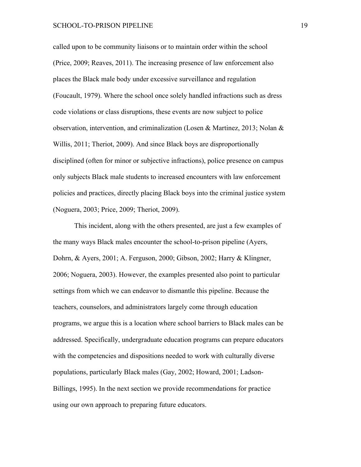called upon to be community liaisons or to maintain order within the school (Price, 2009; Reaves, 2011). The increasing presence of law enforcement also places the Black male body under excessive surveillance and regulation (Foucault, 1979). Where the school once solely handled infractions such as dress code violations or class disruptions, these events are now subject to police observation, intervention, and criminalization (Losen & Martinez, 2013; Nolan & Willis, 2011; Theriot, 2009). And since Black boys are disproportionally disciplined (often for minor or subjective infractions), police presence on campus only subjects Black male students to increased encounters with law enforcement policies and practices, directly placing Black boys into the criminal justice system (Noguera, 2003; Price, 2009; Theriot, 2009).

This incident, along with the others presented, are just a few examples of the many ways Black males encounter the school-to-prison pipeline (Ayers, Dohrn, & Ayers, 2001; A. Ferguson, 2000; Gibson, 2002; Harry & Klingner, 2006; Noguera, 2003). However, the examples presented also point to particular settings from which we can endeavor to dismantle this pipeline. Because the teachers, counselors, and administrators largely come through education programs, we argue this is a location where school barriers to Black males can be addressed. Specifically, undergraduate education programs can prepare educators with the competencies and dispositions needed to work with culturally diverse populations, particularly Black males (Gay, 2002; Howard, 2001; Ladson-Billings, 1995). In the next section we provide recommendations for practice using our own approach to preparing future educators.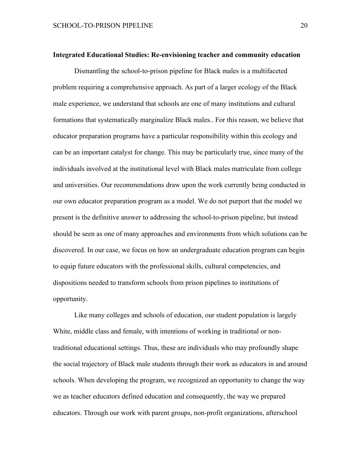#### **Integrated Educational Studies: Re-envisioning teacher and community education**

Dismantling the school-to-prison pipeline for Black males is a multifaceted problem requiring a comprehensive approach. As part of a larger ecology of the Black male experience, we understand that schools are one of many institutions and cultural formations that systematically marginalize Black males.. For this reason, we believe that educator preparation programs have a particular responsibility within this ecology and can be an important catalyst for change. This may be particularly true, since many of the individuals involved at the institutional level with Black males matriculate from college and universities. Our recommendations draw upon the work currently being conducted in our own educator preparation program as a model. We do not purport that the model we present is the definitive answer to addressing the school-to-prison pipeline, but instead should be seen as one of many approaches and environments from which solutions can be discovered. In our case, we focus on how an undergraduate education program can begin to equip future educators with the professional skills, cultural competencies, and dispositions needed to transform schools from prison pipelines to institutions of opportunity.

Like many colleges and schools of education, our student population is largely White, middle class and female, with intentions of working in traditional or nontraditional educational settings. Thus, these are individuals who may profoundly shape the social trajectory of Black male students through their work as educators in and around schools. When developing the program, we recognized an opportunity to change the way we as teacher educators defined education and consequently, the way we prepared educators. Through our work with parent groups, non-profit organizations, afterschool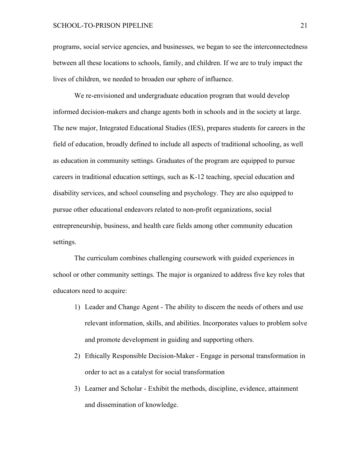#### SCHOOL-TO-PRISON PIPELINE 21

programs, social service agencies, and businesses, we began to see the interconnectedness between all these locations to schools, family, and children. If we are to truly impact the lives of children, we needed to broaden our sphere of influence.

We re-envisioned and undergraduate education program that would develop informed decision-makers and change agents both in schools and in the society at large. The new major, Integrated Educational Studies (IES), prepares students for careers in the field of education, broadly defined to include all aspects of traditional schooling, as well as education in community settings. Graduates of the program are equipped to pursue careers in traditional education settings, such as K-12 teaching, special education and disability services, and school counseling and psychology. They are also equipped to pursue other educational endeavors related to non-profit organizations, social entrepreneurship, business, and health care fields among other community education settings.

The curriculum combines challenging coursework with guided experiences in school or other community settings. The major is organized to address five key roles that educators need to acquire:

- 1) Leader and Change Agent The ability to discern the needs of others and use relevant information, skills, and abilities. Incorporates values to problem solve and promote development in guiding and supporting others.
- 2) Ethically Responsible Decision-Maker Engage in personal transformation in order to act as a catalyst for social transformation
- 3) Learner and Scholar Exhibit the methods, discipline, evidence, attainment and dissemination of knowledge.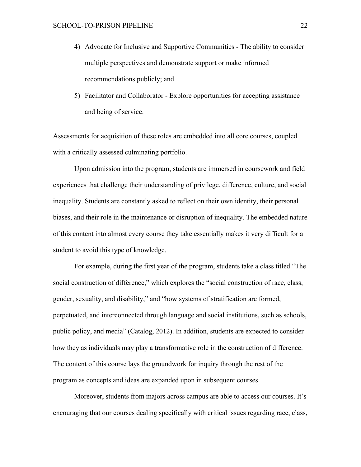- 4) Advocate for Inclusive and Supportive Communities The ability to consider multiple perspectives and demonstrate support or make informed recommendations publicly; and
- 5) Facilitator and Collaborator Explore opportunities for accepting assistance and being of service.

Assessments for acquisition of these roles are embedded into all core courses, coupled with a critically assessed culminating portfolio.

Upon admission into the program, students are immersed in coursework and field experiences that challenge their understanding of privilege, difference, culture, and social inequality. Students are constantly asked to reflect on their own identity, their personal biases, and their role in the maintenance or disruption of inequality. The embedded nature of this content into almost every course they take essentially makes it very difficult for a student to avoid this type of knowledge.

For example, during the first year of the program, students take a class titled "The social construction of difference," which explores the "social construction of race, class, gender, sexuality, and disability," and "how systems of stratification are formed, perpetuated, and interconnected through language and social institutions, such as schools, public policy, and media" (Catalog, 2012). In addition, students are expected to consider how they as individuals may play a transformative role in the construction of difference. The content of this course lays the groundwork for inquiry through the rest of the program as concepts and ideas are expanded upon in subsequent courses.

Moreover, students from majors across campus are able to access our courses. It's encouraging that our courses dealing specifically with critical issues regarding race, class,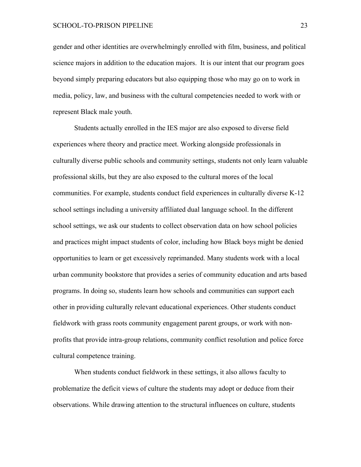gender and other identities are overwhelmingly enrolled with film, business, and political science majors in addition to the education majors. It is our intent that our program goes beyond simply preparing educators but also equipping those who may go on to work in media, policy, law, and business with the cultural competencies needed to work with or represent Black male youth.

Students actually enrolled in the IES major are also exposed to diverse field experiences where theory and practice meet. Working alongside professionals in culturally diverse public schools and community settings, students not only learn valuable professional skills, but they are also exposed to the cultural mores of the local communities. For example, students conduct field experiences in culturally diverse K-12 school settings including a university affiliated dual language school. In the different school settings, we ask our students to collect observation data on how school policies and practices might impact students of color, including how Black boys might be denied opportunities to learn or get excessively reprimanded. Many students work with a local urban community bookstore that provides a series of community education and arts based programs. In doing so, students learn how schools and communities can support each other in providing culturally relevant educational experiences. Other students conduct fieldwork with grass roots community engagement parent groups, or work with nonprofits that provide intra-group relations, community conflict resolution and police force cultural competence training.

When students conduct fieldwork in these settings, it also allows faculty to problematize the deficit views of culture the students may adopt or deduce from their observations. While drawing attention to the structural influences on culture, students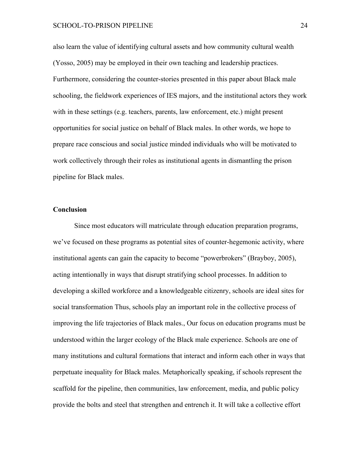also learn the value of identifying cultural assets and how community cultural wealth (Yosso, 2005) may be employed in their own teaching and leadership practices. Furthermore, considering the counter-stories presented in this paper about Black male schooling, the fieldwork experiences of IES majors, and the institutional actors they work with in these settings (e.g. teachers, parents, law enforcement, etc.) might present opportunities for social justice on behalf of Black males. In other words, we hope to prepare race conscious and social justice minded individuals who will be motivated to work collectively through their roles as institutional agents in dismantling the prison pipeline for Black males.

#### **Conclusion**

Since most educators will matriculate through education preparation programs, we've focused on these programs as potential sites of counter-hegemonic activity, where institutional agents can gain the capacity to become "powerbrokers" (Brayboy, 2005), acting intentionally in ways that disrupt stratifying school processes. In addition to developing a skilled workforce and a knowledgeable citizenry, schools are ideal sites for social transformation Thus, schools play an important role in the collective process of improving the life trajectories of Black males., Our focus on education programs must be understood within the larger ecology of the Black male experience. Schools are one of many institutions and cultural formations that interact and inform each other in ways that perpetuate inequality for Black males. Metaphorically speaking, if schools represent the scaffold for the pipeline, then communities, law enforcement, media, and public policy provide the bolts and steel that strengthen and entrench it. It will take a collective effort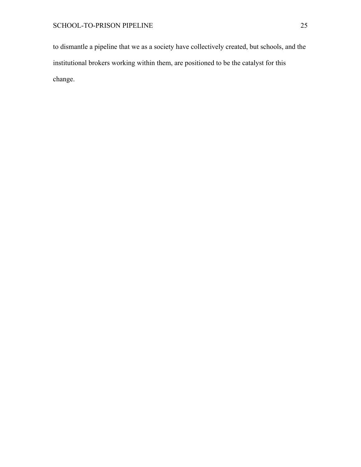to dismantle a pipeline that we as a society have collectively created, but schools, and the institutional brokers working within them, are positioned to be the catalyst for this change.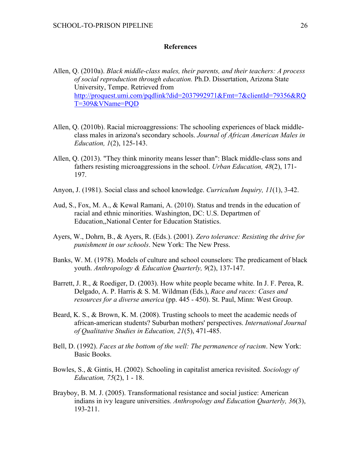#### **References**

- Allen, Q. (2010a). *Black middle-class males, their parents, and their teachers: A process of social reproduction through education.* Ph.D. Dissertation, Arizona State University, Tempe. Retrieved from http://proquest.umi.com/pqdlink?did=2037992971&Fmt=7&clientId=79356&RQ T=309&VName=PQD
- Allen, Q. (2010b). Racial microaggressions: The schooling experiences of black middleclass males in arizona's secondary schools. *Journal of African American Males in Education, 1*(2), 125-143.
- Allen, Q. (2013). "They think minority means lesser than": Black middle-class sons and fathers resisting microaggressions in the school. *Urban Education, 48*(2), 171- 197.
- Anyon, J. (1981). Social class and school knowledge. *Curriculum Inquiry, 11*(1), 3-42.
- Aud, S., Fox, M. A., & Kewal Ramani, A. (2010). Status and trends in the education of racial and ethnic minorities. Washington, DC: U.S. Departmen of Education,,National Center for Education Statistics.
- Ayers, W., Dohrn, B., & Ayers, R. (Eds.). (2001). *Zero tolerance: Resisting the drive for punishment in our schools*. New York: The New Press.
- Banks, W. M. (1978). Models of culture and school counselors: The predicament of black youth. *Anthropology & Education Quarterly, 9*(2), 137-147.
- Barrett, J. R., & Roediger, D. (2003). How white people became white. In J. F. Perea, R. Delgado, A. P. Harris & S. M. Wildman (Eds.), *Race and races: Cases and resources for a diverse america* (pp. 445 - 450). St. Paul, Minn: West Group.
- Beard, K. S., & Brown, K. M. (2008). Trusting schools to meet the academic needs of african-american students? Suburban mothers' perspectives. *International Journal of Qualitative Studies in Education, 21*(5), 471-485.
- Bell, D. (1992). *Faces at the bottom of the well: The permanence of racism*. New York: Basic Books.
- Bowles, S., & Gintis, H. (2002). Schooling in capitalist america revisited. *Sociology of Education, 75*(2), 1 - 18.
- Brayboy, B. M. J. (2005). Transformational resistance and social justice: American indians in ivy leagure universities. *Anthropology and Education Quarterly, 36*(3), 193-211.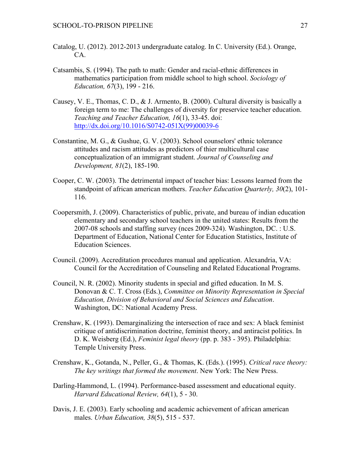- Catalog, U. (2012). 2012-2013 undergraduate catalog. In C. University (Ed.). Orange, CA.
- Catsambis, S. (1994). The path to math: Gender and racial-ethnic differences in mathematics participation from middle school to high school. *Sociology of Education, 67*(3), 199 - 216.
- Causey, V. E., Thomas, C. D., & J. Armento, B. (2000). Cultural diversity is basically a foreign term to me: The challenges of diversity for preservice teacher education. *Teaching and Teacher Education, 16*(1), 33-45. doi: http://dx.doi.org/10.1016/S0742-051X(99)00039-6
- Constantine, M. G., & Gushue, G. V. (2003). School counselors' ethnic tolerance attitudes and racism attitudes as predictors of thier multicultural case conceptualization of an immigrant student. *Journal of Counseling and Development, 81*(2), 185-190.
- Cooper, C. W. (2003). The detrimental impact of teacher bias: Lessons learned from the standpoint of african american mothers. *Teacher Education Quarterly, 30*(2), 101- 116.
- Coopersmith, J. (2009). Characteristics of public, private, and bureau of indian education elementary and secondary school teachers in the united states: Results from the 2007-08 schools and staffing survey (nces 2009-324). Washington, DC. : U.S. Department of Education, National Center for Education Statistics, Institute of Education Sciences.
- Council. (2009). Accreditation procedures manual and application. Alexandria, VA: Council for the Accreditation of Counseling and Related Educational Programs.
- Council, N. R. (2002). Minority students in special and gifted education. In M. S. Donovan & C. T. Cross (Eds.), *Committee on Minority Representation in Special Education, Division of Behavioral and Social Sciences and Education*. Washington, DC: National Academy Press.
- Crenshaw, K. (1993). Demarginalizing the intersection of race and sex: A black feminist critique of antidiscrimination doctrine, feminist theory, and antiracist politics. In D. K. Weisberg (Ed.), *Feminist legal theory* (pp. p. 383 - 395). Philadelphia: Temple University Press.
- Crenshaw, K., Gotanda, N., Peller, G., & Thomas, K. (Eds.). (1995). *Critical race theory: The key writings that formed the movement*. New York: The New Press.
- Darling-Hammond, L. (1994). Performance-based assessment and educational equity. *Harvard Educational Review, 64*(1), 5 - 30.
- Davis, J. E. (2003). Early schooling and academic achievement of african american males. *Urban Education, 38*(5), 515 - 537.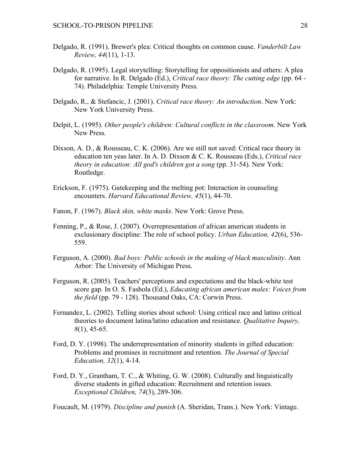- Delgado, R. (1991). Brewer's plea: Critical thoughts on common cause. *Vanderbilt Law Review, 44*(11), 1-13.
- Delgado, R. (1995). Legal storytelling: Storytelling for oppositionists and others: A plea for narrative. In R. Delgado (Ed.), *Critical race theory: The cutting edge* (pp. 64 - 74). Philadelphia: Temple University Press.
- Delgado, R., & Stefancic, J. (2001). *Critical race theory: An introduction*. New York: New York University Press.
- Delpit, L. (1995). *Other people's children: Cultural conflicts in the classroom*. New York New Press.
- Dixson, A. D., & Rousseau, C. K. (2006). Are we still not saved: Critical race theory in education ten yeas later. In A. D. Dixson & C. K. Rousseau (Eds.), *Critical race theory in education: All god's children got a song* (pp. 31-54). New York: Routledge.
- Erickson, F. (1975). Gatekeeping and the melting pot: Interaction in counseling encounters. *Harvard Educational Review, 45*(1), 44-70.
- Fanon, F. (1967). *Black skin, white masks*. New York: Grove Press.
- Fenning, P., & Rose, J. (2007). Overrepresentation of african american students in exclusionary discipline: The role of school policy. *Urban Education, 42*(6), 536- 559.
- Ferguson, A. (2000). *Bad boys: Public schools in the making of black masculinity*. Ann Arbor: The University of Michigan Press.
- Ferguson, R. (2005). Teachers' perceptions and expectations and the black-white test score gap. In O. S. Fashola (Ed.), *Educating african american males: Voices from the field* (pp. 79 - 128). Thousand Oaks, CA: Corwin Press.
- Fernandez, L. (2002). Telling stories about school: Using critical race and latino critical theories to document latina/latino education and resistance. *Qualitative Inquiry, 8*(1), 45-65.
- Ford, D. Y. (1998). The underrepresentation of minority students in gifted education: Problems and promises in recruitment and retention. *The Journal of Special Education, 32*(1), 4-14.
- Ford, D. Y., Grantham, T. C., & Whiting, G. W. (2008). Culturally and linguistically diverse students in gifted education: Recruitment and retention issues. *Exceptional Children, 74*(3), 289-306.

Foucault, M. (1979). *Discipline and punish* (A. Sheridan, Trans.). New York: Vintage.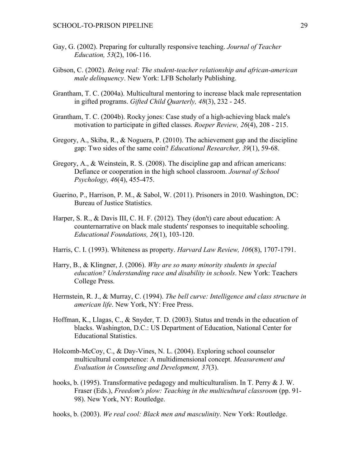- Gay, G. (2002). Preparing for culturally responsive teaching. *Journal of Teacher Education, 53*(2), 106-116.
- Gibson, C. (2002). *Being real: The student-teacher relationship and african-american male delinquency*. New York: LFB Scholarly Publishing.
- Grantham, T. C. (2004a). Multicultural mentoring to increase black male representation in gifted programs. *Gifted Child Quarterly, 48*(3), 232 - 245.
- Grantham, T. C. (2004b). Rocky jones: Case study of a high-achieving black male's motivation to participate in gifted classes. *Roeper Review, 26*(4), 208 - 215.
- Gregory, A., Skiba, R., & Noguera, P. (2010). The achievement gap and the discipline gap: Two sides of the same coin? *Educational Researcher, 39*(1), 59-68.
- Gregory, A., & Weinstein, R. S. (2008). The discipline gap and african americans: Defiance or cooperation in the high school classroom. *Journal of School Psychology, 46*(4), 455-475.
- Guerino, P., Harrison, P. M., & Sabol, W. (2011). Prisoners in 2010. Washington, DC: Bureau of Justice Statistics.
- Harper, S. R., & Davis III, C. H. F. (2012). They (don't) care about education: A counternarrative on black male students' responses to inequitable schooling. *Educational Foundations, 26*(1), 103-120.
- Harris, C. I. (1993). Whiteness as property. *Harvard Law Review, 106*(8), 1707-1791.
- Harry, B., & Klingner, J. (2006). *Why are so many minority students in special education? Understanding race and disability in schools*. New York: Teachers College Press.
- Herrnstein, R. J., & Murray, C. (1994). *The bell curve: Intelligence and class structure in american life*. New York, NY: Free Press.
- Hoffman, K., Llagas, C., & Snyder, T. D. (2003). Status and trends in the education of blacks. Washington, D.C.: US Department of Education, National Center for Educational Statistics.
- Holcomb-McCoy, C., & Day-Vines, N. L. (2004). Exploring school counselor multicultural competence: A multidimensional concept. *Measurement and Evaluation in Counseling and Development, 37*(3).
- hooks, b. (1995). Transformative pedagogy and multiculturalism. In T. Perry & J. W. Fraser (Eds.), *Freedom's plow: Teaching in the multicultural classroom* (pp. 91- 98). New York, NY: Routledge.

hooks, b. (2003). *We real cool: Black men and masculinity*. New York: Routledge.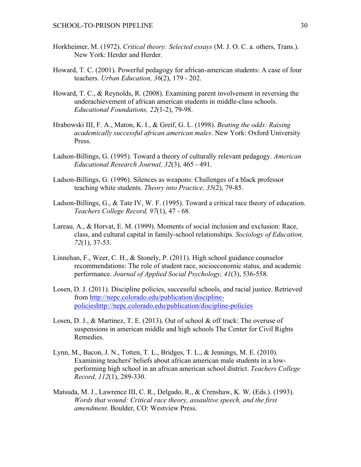- Horkheimer, M. (1972). *Critical theory: Selected essays* (M. J. O. C. a. others, Trans.). New York: Herder and Herder.
- Howard, T. C. (2001). Powerful pedagogy for african-american students: A case of four teachers. *Urban Education, 36*(2), 179 - 202.
- Howard, T. C., & Reynolds, R. (2008). Examining parent involvement in reversing the underachievement of african american students in middle-class schools. *Educational Foundations, 22*(1-2), 79-98.
- Hrabowski III, F. A., Maton, K. I., & Greif, G. L. (1998). *Beating the odds: Raising academically successful african american males*. New York: Oxford University Press.
- Ladson-Billings, G. (1995). Toward a theory of culturally relevant pedagogy. *American Educational Research Journal, 32*(3), 465 - 491.
- Ladson-Billings, G. (1996). Silences as weapons: Challenges of a black professor teaching white students. *Theory into Practice, 35*(2), 79-85.
- Ladson-Billings, G., & Tate IV, W. F. (1995). Toward a critical race theory of education. *Teachers College Record, 97*(1), 47 - 68.
- Lareau, A., & Horvat, E. M. (1999). Moments of social inclusion and exclusion: Race, class, and cultural capital in family-school relationships. *Sociology of Education, 72*(1), 37-53.
- Linnehan, F., Weer, C. H., & Stonely, P. (2011). High school guidance counselor recommendations: The role of student race, socioeconomic status, and academic performance. *Journal of Applied Social Psychology, 41*(3), 536-558.
- Losen, D. J. (2011). Discipline policies, successful schools, and racial justice. Retrieved from http://nepc.colorado.edu/publication/disciplinepolicieshttp://nepc.colorado.edu/publication/discipline-policies
- Losen, D. J., & Martinez, T. E. (2013). Out of school & off track: The overuse of suspensions in american middle and high schools The Center for Civil Rights Remedies.
- Lynn, M., Bacon, J. N., Totten, T. L., Bridges, T. L., & Jennings, M. E. (2010). Examining teachers' beliefs about african american male students in a lowperforming high school in an african american school district. *Teachers College Record, 112*(1), 289-330.
- Matsuda, M. J., Lawrence III, C. R., Delgado, R., & Crenshaw, K. W. (Eds.). (1993). *Words that wound: Critical race theory, assaultive speech, and the first amendment*. Boulder, CO: Westview Press.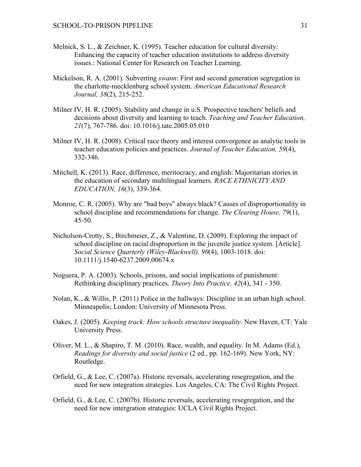- Melnick, S. L., & Zeichner, K. (1995). Teacher education for cultural diversity: Enhancing the capacity of teacher education institutions to address diversity issues.: National Center for Research on Teacher Learning.
- Mickelson, R. A. (2001). Subverting *swann*: First and second generation segregation in the charlotte-mecklenburg school system. *American Educational Research Journal, 38*(2), 215-252.
- Milner IV, H. R. (2005). Stability and change in u.S. Prospective teachers' beliefs and decisions about diversity and learning to teach. *Teaching and Teacher Education, 21*(7), 767-786. doi: 10.1016/j.tate.2005.05.010
- Milner IV, H. R. (2008). Critical race theory and interest convergence as analytic tools in teacher education policies and practices. *Journal of Teacher Education, 59*(4), 332-346.
- Mitchell, K. (2013). Race, difference, meritocracy, and english: Majoritarian stories in the education of secondary multilingual learners. *RACE ETHNICITY AND EDUCATION, 16*(3), 339-364.
- Monroe, C. R. (2005). Why are "bad boys" always black? Causes of disproportionality in school discipline and recommendations for change. *The Clearing House, 79*(1), 45-50.
- Nicholson-Crotty, S., Birchmeier, Z., & Valentine, D. (2009). Exploring the impact of school discipline on racial disproportion in the juvenile justice system. [Article]. *Social Science Quarterly (Wiley-Blackwell), 90*(4), 1003-1018. doi: 10.1111/j.1540-6237.2009.00674.x
- Noguera, P. A. (2003). Schools, prisons, and social implications of punishment: Rethinking disciplinary practices. *Theory Into Practice, 42*(4), 341 - 350.
- Nolan, K., & Willis, P. (2011) Police in the hallways: Discipline in an urban high school. Minneapolis; London: University of Minnesota Press.
- Oakes, J. (2005). *Keeping track: How schools structure inequality*. New Haven, CT: Yale University Press.
- Oliver, M. L., & Shapiro, T. M. (2010). Race, wealth, and equality. In M. Adams (Ed.), *Readings for diversity and social justice* (2 ed., pp. 162-169). New York, NY: Routledge.
- Orfield, G., & Lee, C. (2007a). Historic reversals, accelerating resegregation, and the need for new integration strategies. Los Angeles, CA: The Civil Rights Project.
- Orfield, G., & Lee, C. (2007b). Historic reversals, accelerating resegregation, and the need for new intergration strategies: UCLA Civil Rights Project.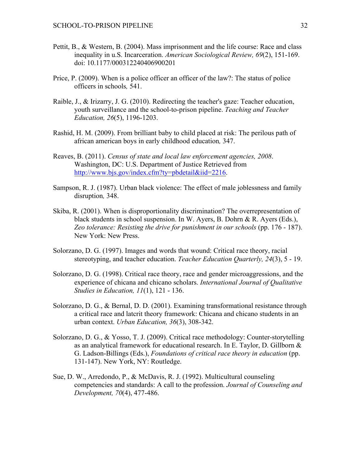- Pettit, B., & Western, B. (2004). Mass imprisonment and the life course: Race and class inequality in u.S. Incarceration. *American Sociological Review, 69*(2), 151-169. doi: 10.1177/000312240406900201
- Price, P. (2009). When is a police officer an officer of the law?: The status of police officers in schools*,* 541.
- Raible, J., & Irizarry, J. G. (2010). Redirecting the teacher's gaze: Teacher education, youth surveillance and the school-to-prison pipeline. *Teaching and Teacher Education, 26*(5), 1196-1203.
- Rashid, H. M. (2009). From brilliant baby to child placed at risk: The perilous path of african american boys in early childhood education*,* 347.
- Reaves, B. (2011). *Census of state and local law enforcement agencies, 2008*. Washington, DC: U.S. Department of Justice Retrieved from http://www.bjs.gov/index.cfm?ty=pbdetail&iid=2216.
- Sampson, R. J. (1987). Urban black violence: The effect of male joblessness and family disruption*,* 348.
- Skiba, R. (2001). When is disproportionality discrimination? The overrepresentation of black students in school suspension. In W. Ayers, B. Dohrn & R. Ayers (Eds.), *Zeo tolerance: Resisting the drive for punishment in our schools* (pp. 176 - 187). New York: New Press.
- Solorzano, D. G. (1997). Images and words that wound: Critical race theory, racial stereotyping, and teacher education. *Teacher Education Quarterly, 24*(3), 5 - 19.
- Solorzano, D. G. (1998). Critical race theory, race and gender microaggressions, and the experience of chicana and chicano scholars. *International Journal of Qualitative Studies in Education, 11*(1), 121 - 136.
- Solorzano, D. G., & Bernal, D. D. (2001). Examining transformational resistance through a critical race and latcrit theory framework: Chicana and chicano students in an urban context. *Urban Education, 36*(3), 308-342.
- Solorzano, D. G., & Yosso, T. J. (2009). Critical race methodology: Counter-storytelling as an analytical framework for educational research. In E. Taylor, D. Gillborn & G. Ladson-Billings (Eds.), *Foundations of critical race theory in education* (pp. 131-147). New York, NY: Routledge.
- Sue, D. W., Arredondo, P., & McDavis, R. J. (1992). Multicultural counseling competencies and standards: A call to the profession. *Journal of Counseling and Development, 70*(4), 477-486.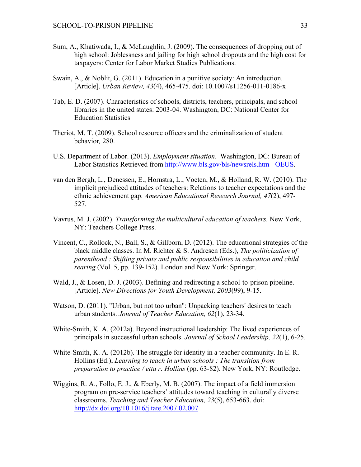- Sum, A., Khatiwada, I., & McLaughlin, J. (2009). The consequences of dropping out of high school: Joblessness and jailing for high school dropouts and the high cost for taxpayers: Center for Labor Market Studies Publications.
- Swain, A., & Noblit, G. (2011). Education in a punitive society: An introduction. [Article]. *Urban Review, 43*(4), 465-475. doi: 10.1007/s11256-011-0186-x
- Tab, E. D. (2007). Characteristics of schools, districts, teachers, principals, and school libraries in the united states: 2003-04. Washington, DC: National Center for Education Statistics
- Theriot, M. T. (2009). School resource officers and the criminalization of student behavior*,* 280.
- U.S. Department of Labor. (2013). *Employment situation*. Washington, DC: Bureau of Labor Statistics Retrieved from http://www.bls.gov/bls/newsrels.htm - OEUS.
- van den Bergh, L., Denessen, E., Hornstra, L., Voeten, M., & Holland, R. W. (2010). The implicit prejudiced attitudes of teachers: Relations to teacher expectations and the ethnic achievement gap. *American Educational Research Journal, 47*(2), 497- 527.
- Vavrus, M. J. (2002). *Transforming the multicultural education of teachers.* New York, NY: Teachers College Press.
- Vincent, C., Rollock, N., Ball, S., & Gillborn, D. (2012). The educational strategies of the black middle classes. In M. Richter & S. Andresen (Eds.), *The politicization of parenthood : Shifting private and public responsibilities in education and child rearing* (Vol. 5, pp. 139-152). London and New York: Springer.
- Wald, J., & Losen, D. J. (2003). Defining and redirecting a school-to-prison pipeline. [Article]. *New Directions for Youth Development, 2003*(99), 9-15.
- Watson, D. (2011). "Urban, but not too urban": Unpacking teachers' desires to teach urban students. *Journal of Teacher Education, 62*(1), 23-34.
- White-Smith, K. A. (2012a). Beyond instructional leadership: The lived experiences of principals in successful urban schools. *Journal of School Leadership, 22*(1), 6-25.
- White-Smith, K. A. (2012b). The struggle for identity in a teacher community. In E. R. Hollins (Ed.), *Learning to teach in urban schools : The transition from preparation to practice / etta r. Hollins* (pp. 63-82). New York, NY: Routledge.
- Wiggins, R. A., Follo, E. J., & Eberly, M. B. (2007). The impact of a field immersion program on pre-service teachers' attitudes toward teaching in culturally diverse classrooms. *Teaching and Teacher Education, 23*(5), 653-663. doi: http://dx.doi.org/10.1016/j.tate.2007.02.007